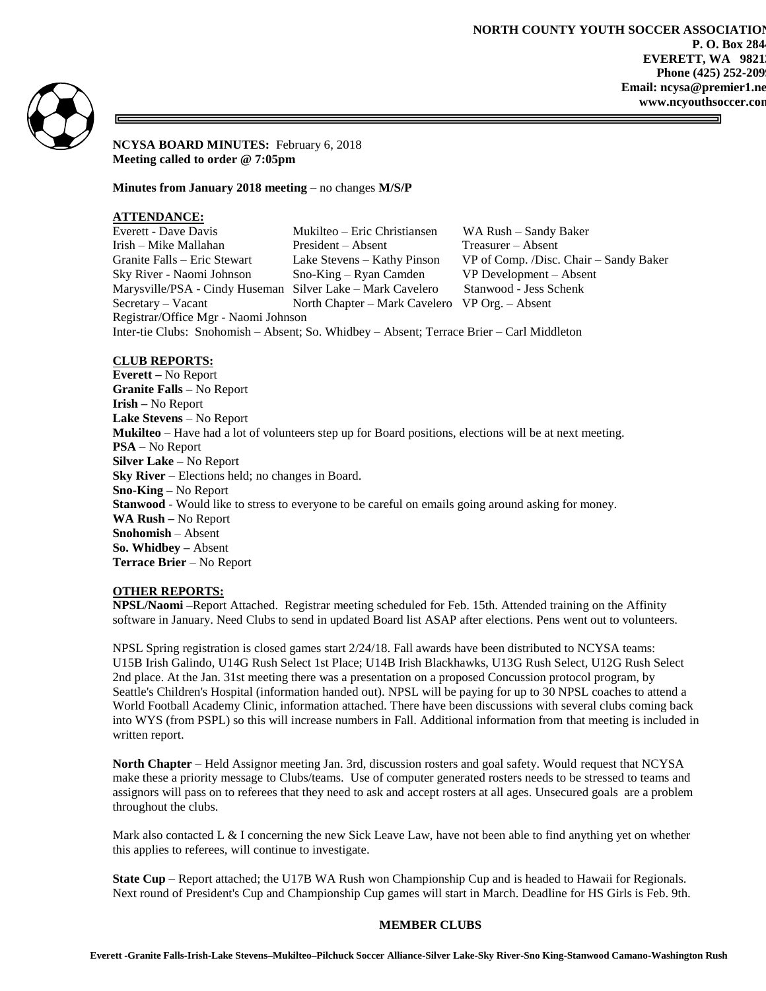

**NCYSA BOARD MINUTES:** February 6, 2018 **Meeting called to order @ 7:05pm**

**Minutes from January 2018 meeting** – no changes **M/S/P**

# **ATTENDANCE:**

| Everett - Dave Davis                                                                      | Mukilteo – Eric Christiansen                   | WA Rush – Sandy Baker                  |
|-------------------------------------------------------------------------------------------|------------------------------------------------|----------------------------------------|
| Irish – Mike Mallahan                                                                     | President – Absent                             | $T$ reasurer – Absent                  |
| Granite Falls – Eric Stewart                                                              | Lake Stevens – Kathy Pinson                    | VP of Comp. /Disc. Chair – Sandy Baker |
| Sky River - Naomi Johnson                                                                 | $Sno-King - Ryan$ Camden                       | VP Development – Absent                |
| Marysville/PSA - Cindy Huseman Silver Lake – Mark Cavelero                                |                                                | Stanwood - Jess Schenk                 |
| $S$ ecretary – Vacant                                                                     | North Chapter – Mark Cavelero VP Org. – Absent |                                        |
| Registrar/Office Mgr - Naomi Johnson                                                      |                                                |                                        |
| Inter-tie Clubs: Snohomish - Absent; So. Whidbey - Absent; Terrace Brier - Carl Middleton |                                                |                                        |

## **CLUB REPORTS:**

**Everett –** No Report **Granite Falls –** No Report **Irish –** No Report **Lake Stevens** – No Report **Mukilteo** – Have had a lot of volunteers step up for Board positions, elections will be at next meeting. **PSA** – No Report **Silver Lake –** No Report **Sky River** – Elections held; no changes in Board. **Sno-King –** No Report **Stanwood** - Would like to stress to everyone to be careful on emails going around asking for money. **WA Rush –** No Report **Snohomish** – Absent **So. Whidbey –** Absent **Terrace Brier** – No Report

## **OTHER REPORTS:**

**NPSL/Naomi –**Report Attached. Registrar meeting scheduled for Feb. 15th. Attended training on the Affinity software in January. Need Clubs to send in updated Board list ASAP after elections. Pens went out to volunteers.

NPSL Spring registration is closed games start 2/24/18. Fall awards have been distributed to NCYSA teams: U15B Irish Galindo, U14G Rush Select 1st Place; U14B Irish Blackhawks, U13G Rush Select, U12G Rush Select 2nd place. At the Jan. 31st meeting there was a presentation on a proposed Concussion protocol program, by Seattle's Children's Hospital (information handed out). NPSL will be paying for up to 30 NPSL coaches to attend a World Football Academy Clinic, information attached. There have been discussions with several clubs coming back into WYS (from PSPL) so this will increase numbers in Fall. Additional information from that meeting is included in written report.

**North Chapter** – Held Assignor meeting Jan. 3rd, discussion rosters and goal safety. Would request that NCYSA make these a priority message to Clubs/teams. Use of computer generated rosters needs to be stressed to teams and assignors will pass on to referees that they need to ask and accept rosters at all ages. Unsecured goals are a problem throughout the clubs.

Mark also contacted L & I concerning the new Sick Leave Law, have not been able to find anything yet on whether this applies to referees, will continue to investigate.

**State Cup** – Report attached; the U17B WA Rush won Championship Cup and is headed to Hawaii for Regionals. Next round of President's Cup and Championship Cup games will start in March. Deadline for HS Girls is Feb. 9th.

## **MEMBER CLUBS**